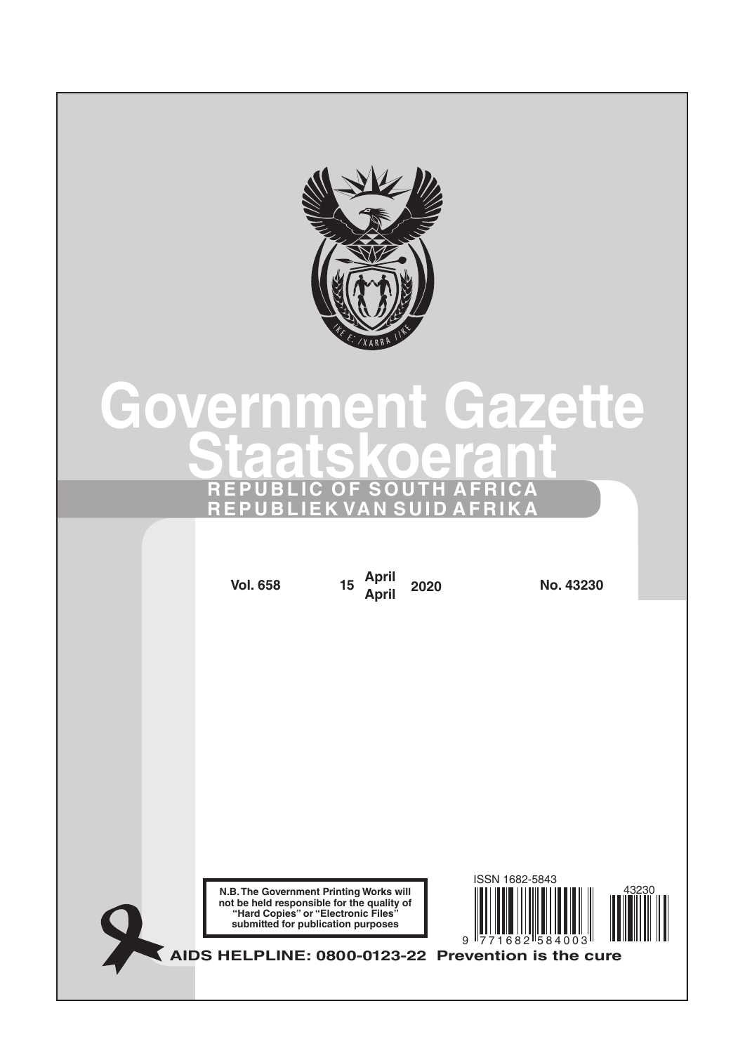

# **Government Gazette Staatskoerant REPUBLIC OF SOUTH AFRICA REPUBLIEK VAN SUID AFRIKA**

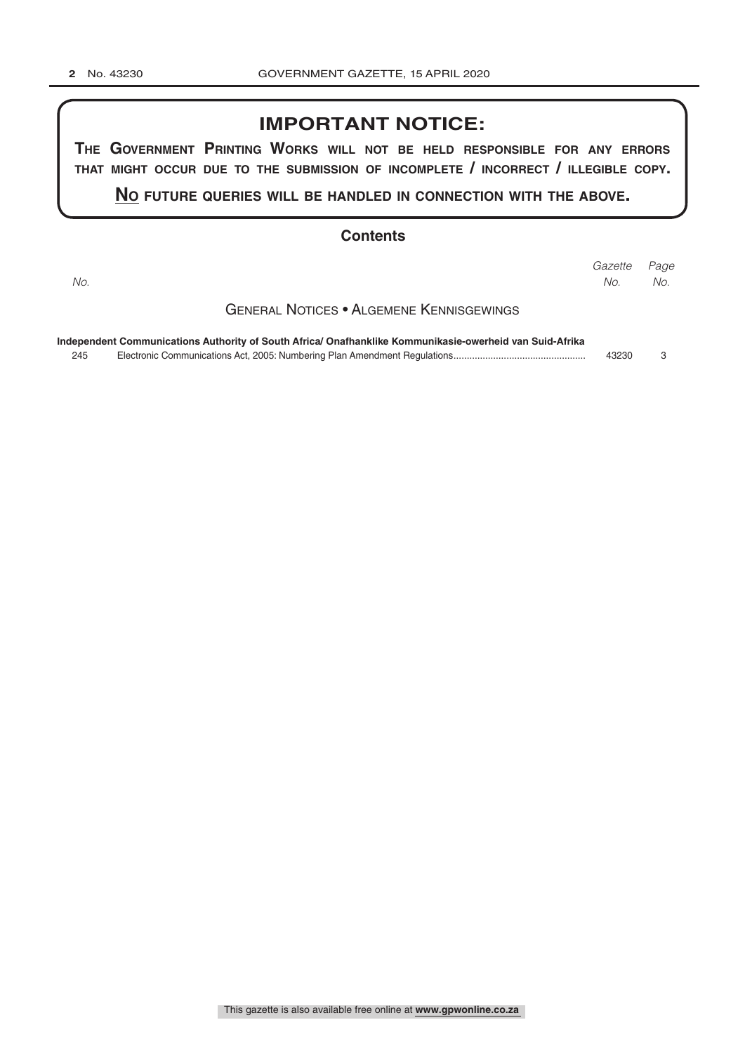# **IMPORTANT NOTICE:**

**The GovernmenT PrinTinG Works Will noT be held resPonsible for any errors ThaT miGhT occur due To The submission of incomPleTe / incorrecT / illeGible coPy.**

**no fuTure queries Will be handled in connecTion WiTh The above.**

#### **Contents**

|     |                                                                                                          | Gazette | Page |
|-----|----------------------------------------------------------------------------------------------------------|---------|------|
| No. |                                                                                                          | No.     | No.  |
|     | <b>GENERAL NOTICES • ALGEMENE KENNISGEWINGS</b>                                                          |         |      |
|     | Independent Communications Authority of South Africa/ Onafhanklike Kommunikasie-owerheid van Suid-Afrika |         |      |
| 245 |                                                                                                          | 43230   |      |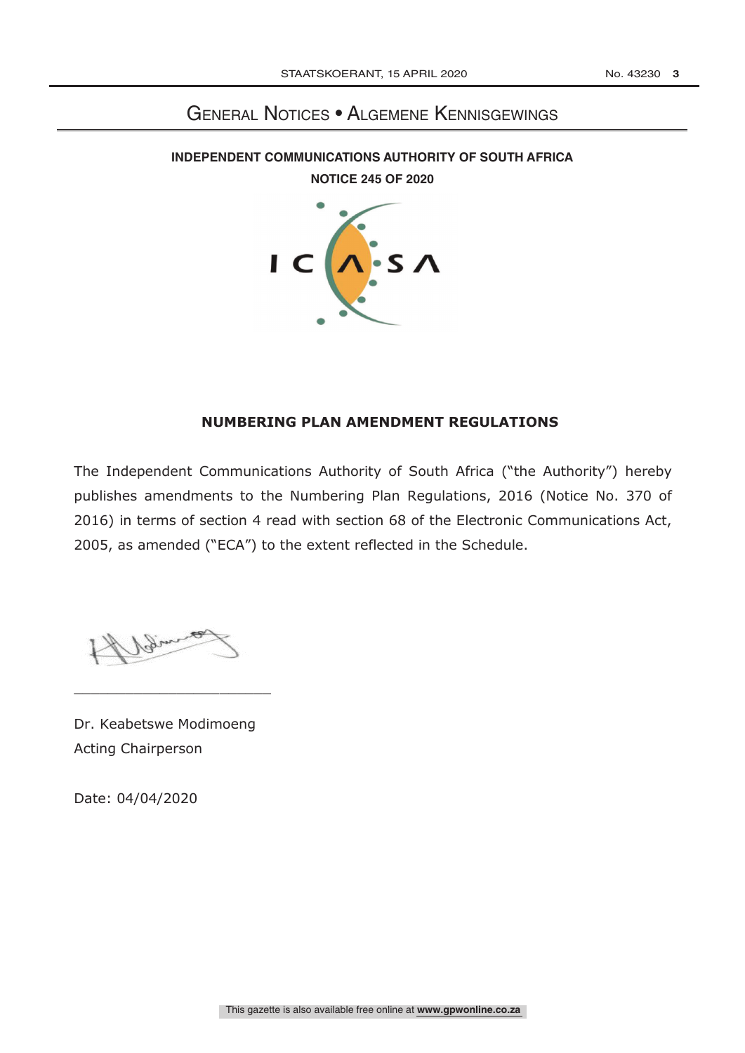# General Notices • Algemene Kennisgewings



# **NUMBERING PLAN AMENDMENT REGULATIONS**

The Independent Communications Authority of South Africa ("the Authority") hereby publishes amendments to the Numbering Plan Regulations, 2016 (Notice No. 370 of 2016) in terms of section 4 read with section 68 of the Electronic Communications Act, 2005, as amended ("ECA") to the extent reflected in the Schedule.

\_\_\_\_\_\_\_\_\_\_\_\_\_\_\_\_\_\_\_\_\_\_\_

Dr. Keabetswe Modimoeng Acting Chairperson

Date: 04/04/2020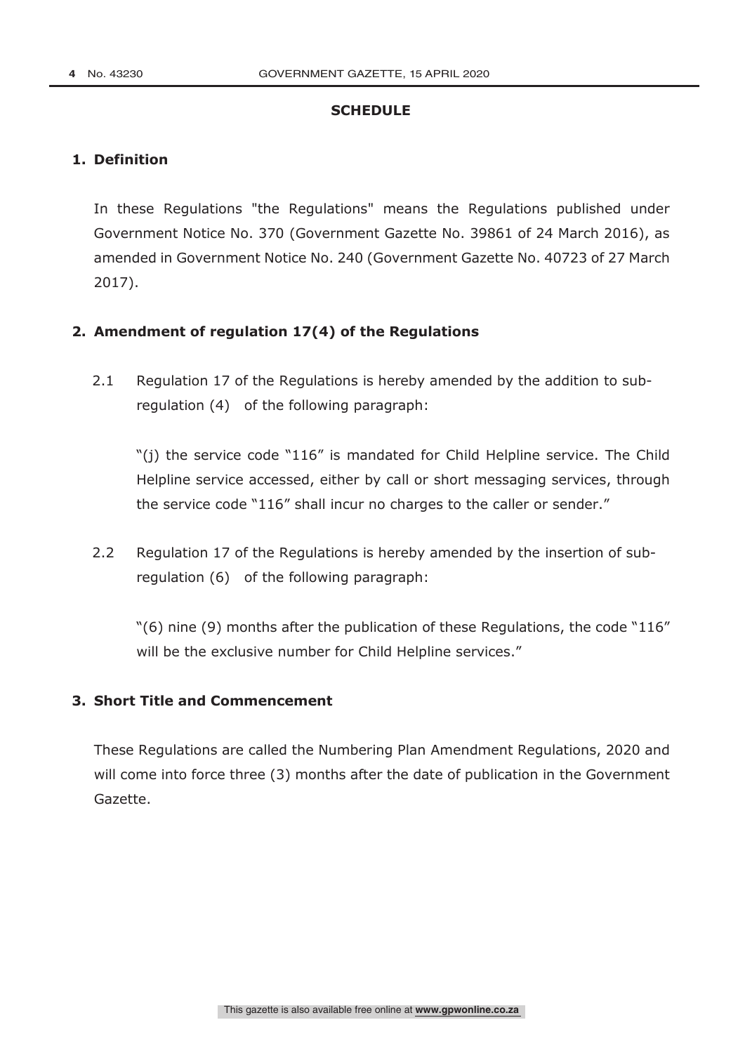#### **SCHEDULE**

# **1. Definition**

In these Regulations "the Regulations" means the Regulations published under Government Notice No. 370 (Government Gazette No. 39861 of 24 March 2016), as amended in Government Notice No. 240 (Government Gazette No. 40723 of 27 March 2017).

# **2. Amendment of regulation 17(4) of the Regulations**

2.1 Regulation 17 of the Regulations is hereby amended by the addition to subregulation (4) of the following paragraph:

"(j) the service code "116" is mandated for Child Helpline service. The Child Helpline service accessed, either by call or short messaging services, through the service code "116" shall incur no charges to the caller or sender."

2.2 Regulation 17 of the Regulations is hereby amended by the insertion of subregulation (6) of the following paragraph:

"(6) nine (9) months after the publication of these Regulations, the code "116" will be the exclusive number for Child Helpline services."

# **3. Short Title and Commencement**

These Regulations are called the Numbering Plan Amendment Regulations, 2020 and will come into force three (3) months after the date of publication in the Government Gazette.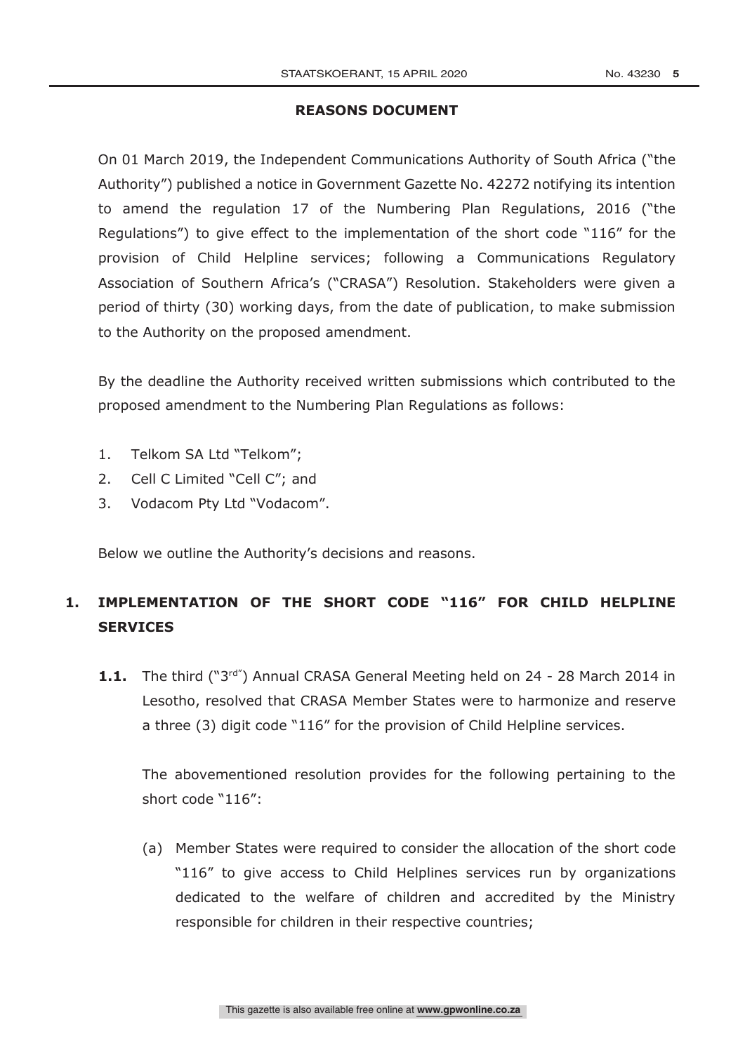#### **REASONS DOCUMENT**

On 01 March 2019, the Independent Communications Authority of South Africa ("the Authority") published a notice in Government Gazette No. 42272 notifying its intention to amend the regulation 17 of the Numbering Plan Regulations, 2016 ("the Regulations") to give effect to the implementation of the short code "116" for the provision of Child Helpline services; following a Communications Regulatory Association of Southern Africa's ("CRASA") Resolution. Stakeholders were given a period of thirty (30) working days, from the date of publication, to make submission to the Authority on the proposed amendment.

By the deadline the Authority received written submissions which contributed to the proposed amendment to the Numbering Plan Regulations as follows:

- 1. Telkom SA Ltd "Telkom";
- 2. Cell C Limited "Cell C"; and
- 3. Vodacom Pty Ltd "Vodacom".

Below we outline the Authority's decisions and reasons.

# **1. IMPLEMENTATION OF THE SHORT CODE "116" FOR CHILD HELPLINE SERVICES**

**1.1.** The third ("3<sup>rd"</sup>) Annual CRASA General Meeting held on 24 - 28 March 2014 in Lesotho, resolved that CRASA Member States were to harmonize and reserve a three (3) digit code "116" for the provision of Child Helpline services.

The abovementioned resolution provides for the following pertaining to the short code "116":

(a) Member States were required to consider the allocation of the short code "116" to give access to Child Helplines services run by organizations dedicated to the welfare of children and accredited by the Ministry responsible for children in their respective countries;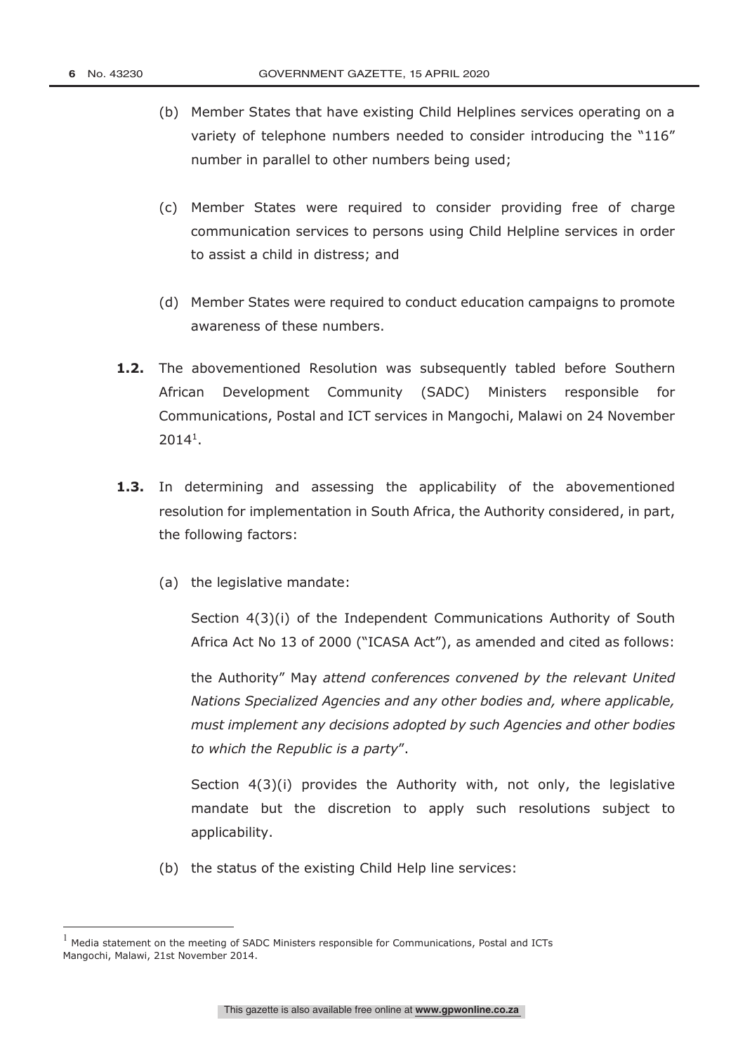-

- (b) Member States that have existing Child Helplines services operating on a variety of telephone numbers needed to consider introducing the "116" number in parallel to other numbers being used;
- (c) Member States were required to consider providing free of charge communication services to persons using Child Helpline services in order to assist a child in distress; and
- (d) Member States were required to conduct education campaigns to promote awareness of these numbers.
- **1.2.** The abovementioned Resolution was subsequently tabled before Southern African Development Community (SADC) Ministers responsible for Communications, Postal and ICT services in Mangochi, Malawi on 24 November 20141.
- **1.3.** In determining and assessing the applicability of the abovementioned resolution for implementation in South Africa, the Authority considered, in part, the following factors:
	- (a) the legislative mandate:

Section 4(3)(i) of the Independent Communications Authority of South Africa Act No 13 of 2000 ("ICASA Act"), as amended and cited as follows:

the Authority" May *attend conferences convened by the relevant United Nations Specialized Agencies and any other bodies and, where applicable, must implement any decisions adopted by such Agencies and other bodies to which the Republic is a party*".

Section 4(3)(i) provides the Authority with, not only, the legislative mandate but the discretion to apply such resolutions subject to applicability.

(b) the status of the existing Child Help line services:

This gazette is also available free online at **www.gpwonline.co.za** Page **5** of **12**

 $<sup>1</sup>$  Media statement on the meeting of SADC Ministers responsible for Communications, Postal and ICTs</sup> Mangochi, Malawi, 21st November 2014.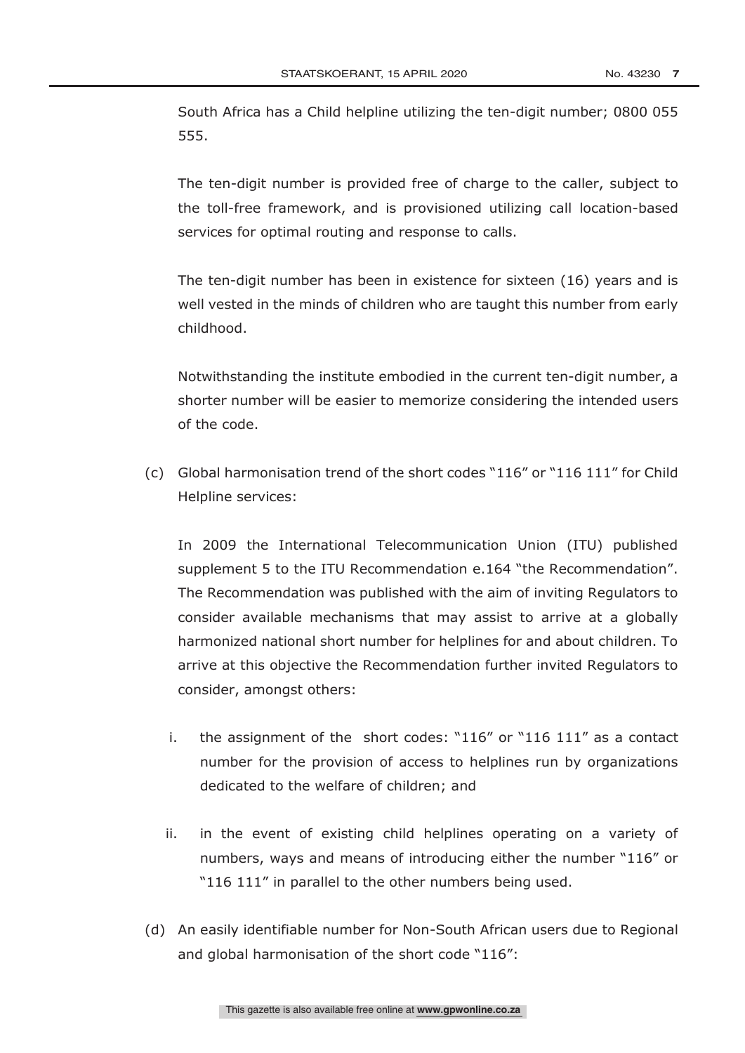South Africa has a Child helpline utilizing the ten-digit number; 0800 055 555.

The ten-digit number is provided free of charge to the caller, subject to the toll-free framework, and is provisioned utilizing call location-based services for optimal routing and response to calls.

The ten-digit number has been in existence for sixteen (16) years and is well vested in the minds of children who are taught this number from early childhood.

Notwithstanding the institute embodied in the current ten-digit number, a shorter number will be easier to memorize considering the intended users of the code.

(c) Global harmonisation trend of the short codes "116" or "116 111" for Child Helpline services:

In 2009 the International Telecommunication Union (ITU) published supplement 5 to the ITU Recommendation e.164 "the Recommendation". The Recommendation was published with the aim of inviting Regulators to consider available mechanisms that may assist to arrive at a globally harmonized national short number for helplines for and about children. To arrive at this objective the Recommendation further invited Regulators to consider, amongst others:

- i. the assignment of the short codes: "116" or "116 111" as a contact number for the provision of access to helplines run by organizations dedicated to the welfare of children; and
- ii. in the event of existing child helplines operating on a variety of numbers, ways and means of introducing either the number "116" or "116 111" in parallel to the other numbers being used.
- (d) An easily identifiable number for Non-South African users due to Regional and global harmonisation of the short code "116":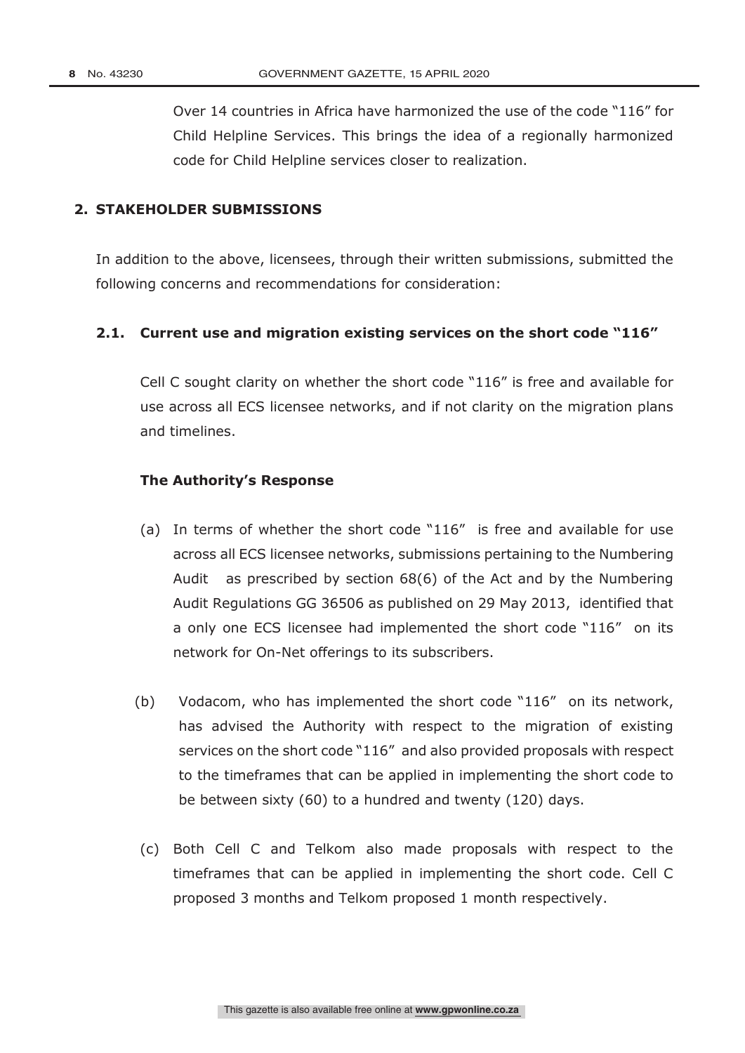Over 14 countries in Africa have harmonized the use of the code "116" for Child Helpline Services. This brings the idea of a regionally harmonized code for Child Helpline services closer to realization.

#### **2. STAKEHOLDER SUBMISSIONS**

In addition to the above, licensees, through their written submissions, submitted the following concerns and recommendations for consideration:

#### **2.1. Current use and migration existing services on the short code "116"**

Cell C sought clarity on whether the short code "116" is free and available for use across all ECS licensee networks, and if not clarity on the migration plans and timelines.

#### **The Authority's Response**

- (a) In terms of whether the short code "116" is free and available for use across all ECS licensee networks, submissions pertaining to the Numbering Audit as prescribed by section 68(6) of the Act and by the Numbering Audit Regulations GG 36506 as published on 29 May 2013, identified that a only one ECS licensee had implemented the short code "116" on its network for On-Net offerings to its subscribers.
- (b) Vodacom, who has implemented the short code "116" on its network, has advised the Authority with respect to the migration of existing services on the short code "116" and also provided proposals with respect to the timeframes that can be applied in implementing the short code to be between sixty (60) to a hundred and twenty (120) days.
- (c) Both Cell C and Telkom also made proposals with respect to the timeframes that can be applied in implementing the short code. Cell C proposed 3 months and Telkom proposed 1 month respectively.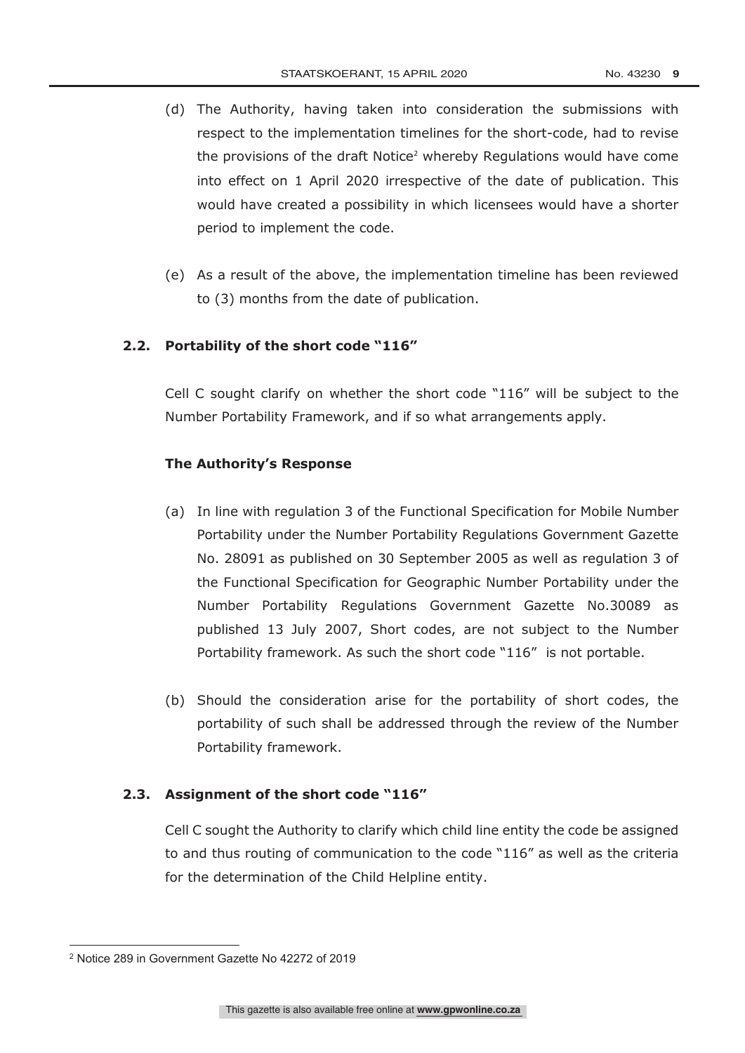- (d) The Authority, having taken into consideration the submissions with respect to the implementation timelines for the short-code, had to revise the provisions of the draft Notice<sup>2</sup> whereby Regulations would have come into effect on 1 April 2020 irrespective of the date of publication. This would have created a possibility in which licensees would have a shorter period to implement the code.
- (e) As a result of the above, the implementation timeline has been reviewed to (3) months from the date of publication.

# **2.2. Portability of the short code "116"**

Cell C sought clarify on whether the short code "116" will be subject to the Number Portability Framework, and if so what arrangements apply.

# **The Authority's Response**

- (a) In line with regulation 3 of the Functional Specification for Mobile Number Portability under the Number Portability Regulations Government Gazette No. 28091 as published on 30 September 2005 as well as regulation 3 of the Functional Specification for Geographic Number Portability under the Number Portability Regulations Government Gazette No.30089 as published 13 July 2007, Short codes, are not subject to the Number Portability framework. As such the short code "116" is not portable.
- (b) Should the consideration arise for the portability of short codes, the portability of such shall be addressed through the review of the Number Portability framework.

# **2.3. Assignment of the short code "116"**

Cell C sought the Authority to clarify which child line entity the code be assigned to and thus routing of communication to the code "116" as well as the criteria for the determination of the Child Helpline entity.

 $\overline{a}$ 

<sup>2</sup> Notice 289 in Government Gazette No 42272 of 2019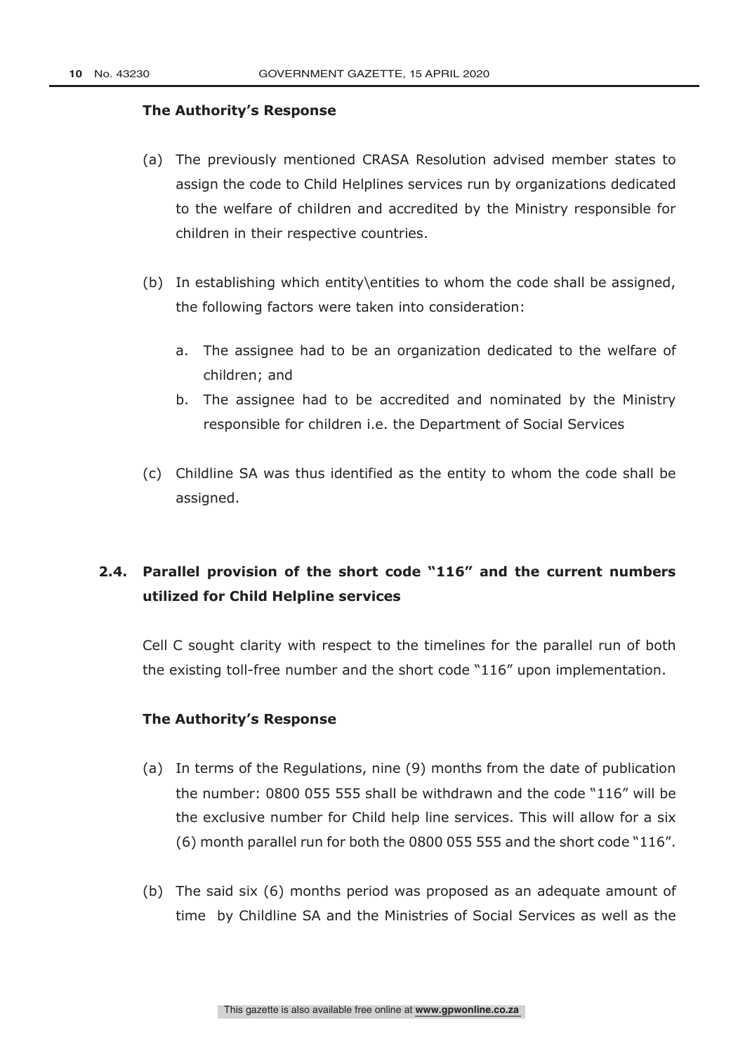#### **The Authority's Response**

- (a) The previously mentioned CRASA Resolution advised member states to assign the code to Child Helplines services run by organizations dedicated to the welfare of children and accredited by the Ministry responsible for children in their respective countries.
- (b) In establishing which entity\entities to whom the code shall be assigned, the following factors were taken into consideration:
	- a. The assignee had to be an organization dedicated to the welfare of children; and
	- b. The assignee had to be accredited and nominated by the Ministry responsible for children i.e. the Department of Social Services
- (c) Childline SA was thus identified as the entity to whom the code shall be assigned.

# **2.4. Parallel provision of the short code "116" and the current numbers utilized for Child Helpline services**

Cell C sought clarity with respect to the timelines for the parallel run of both the existing toll-free number and the short code "116" upon implementation.

#### **The Authority's Response**

- (a) In terms of the Regulations, nine (9) months from the date of publication the number: 0800 055 555 shall be withdrawn and the code "116" will be the exclusive number for Child help line services. This will allow for a six (6) month parallel run for both the 0800 055 555 and the short code "116".
- (b) The said six (6) months period was proposed as an adequate amount of time by Childline SA and the Ministries of Social Services as well as the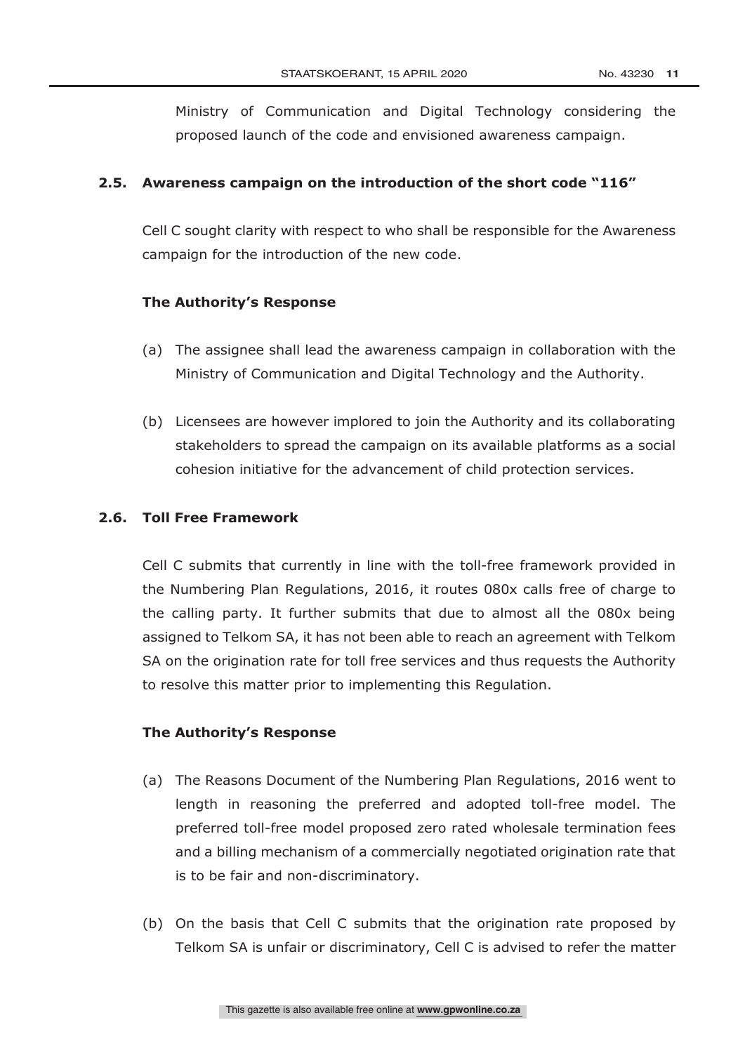Ministry of Communication and Digital Technology considering the proposed launch of the code and envisioned awareness campaign.

#### **2.5. Awareness campaign on the introduction of the short code "116"**

Cell C sought clarity with respect to who shall be responsible for the Awareness campaign for the introduction of the new code.

#### **The Authority's Response**

- (a) The assignee shall lead the awareness campaign in collaboration with the Ministry of Communication and Digital Technology and the Authority.
- (b) Licensees are however implored to join the Authority and its collaborating stakeholders to spread the campaign on its available platforms as a social cohesion initiative for the advancement of child protection services.

#### **2.6. Toll Free Framework**

Cell C submits that currently in line with the toll-free framework provided in the Numbering Plan Regulations, 2016, it routes 080x calls free of charge to the calling party. It further submits that due to almost all the 080x being assigned to Telkom SA, it has not been able to reach an agreement with Telkom SA on the origination rate for toll free services and thus requests the Authority to resolve this matter prior to implementing this Regulation.

#### **The Authority's Response**

- (a) The Reasons Document of the Numbering Plan Regulations, 2016 went to length in reasoning the preferred and adopted toll-free model. The preferred toll-free model proposed zero rated wholesale termination fees and a billing mechanism of a commercially negotiated origination rate that is to be fair and non-discriminatory.
- (b) On the basis that Cell C submits that the origination rate proposed by Telkom SA is unfair or discriminatory, Cell C is advised to refer the matter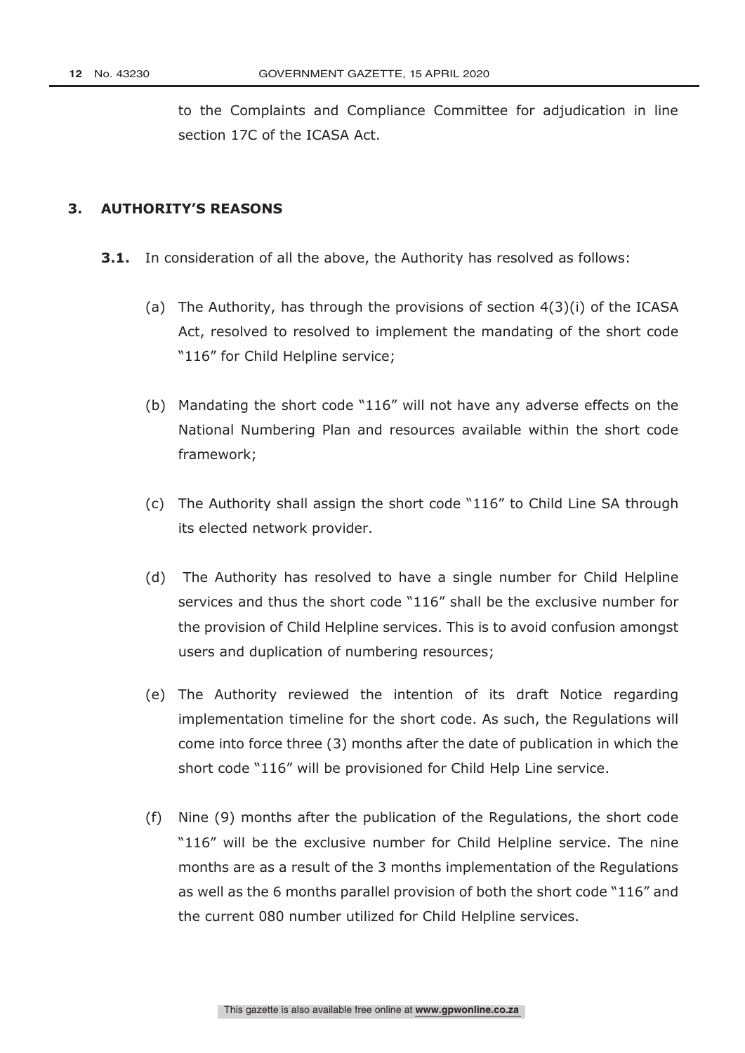to the Complaints and Compliance Committee for adjudication in line section 17C of the ICASA Act.

#### **3. AUTHORITY'S REASONS**

- **3.1.** In consideration of all the above, the Authority has resolved as follows:
	- (a) The Authority, has through the provisions of section 4(3)(i) of the ICASA Act, resolved to resolved to implement the mandating of the short code "116" for Child Helpline service;
	- (b) Mandating the short code "116" will not have any adverse effects on the National Numbering Plan and resources available within the short code framework;
	- (c) The Authority shall assign the short code "116" to Child Line SA through its elected network provider.
	- (d) The Authority has resolved to have a single number for Child Helpline services and thus the short code "116" shall be the exclusive number for the provision of Child Helpline services. This is to avoid confusion amongst users and duplication of numbering resources;
	- (e) The Authority reviewed the intention of its draft Notice regarding implementation timeline for the short code. As such, the Regulations will come into force three (3) months after the date of publication in which the short code "116" will be provisioned for Child Help Line service.
	- (f) Nine (9) months after the publication of the Regulations, the short code "116" will be the exclusive number for Child Helpline service. The nine months are as a result of the 3 months implementation of the Regulations as well as the 6 months parallel provision of both the short code "116" and the current 080 number utilized for Child Helpline services.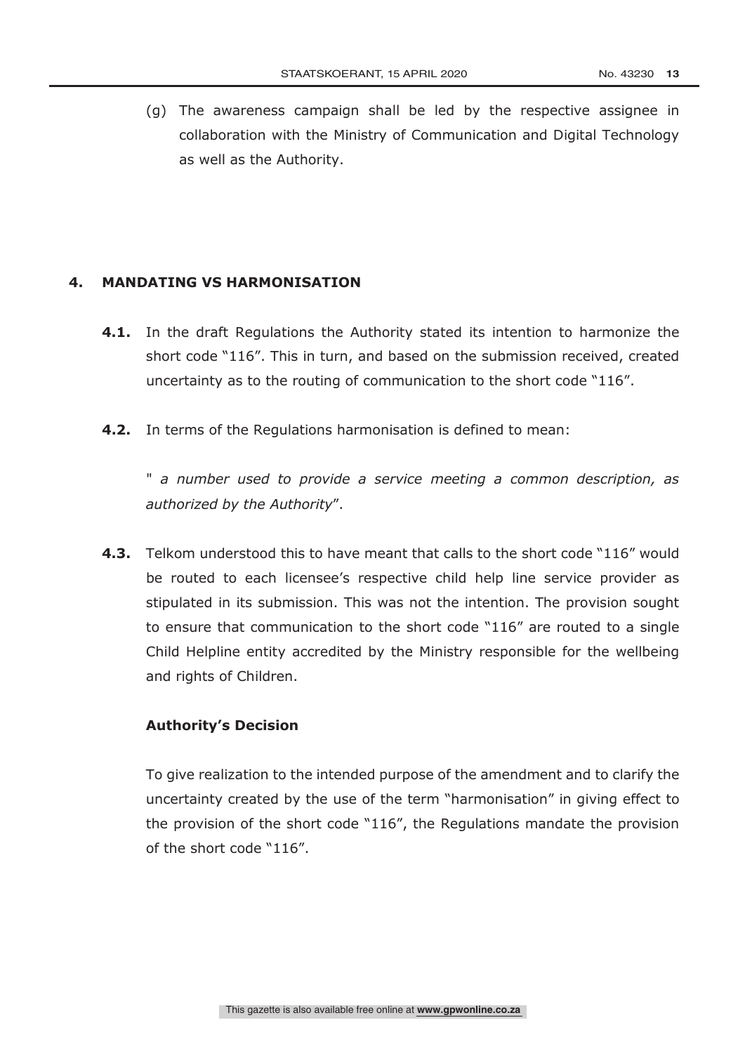(g) The awareness campaign shall be led by the respective assignee in collaboration with the Ministry of Communication and Digital Technology as well as the Authority.

# **4. MANDATING VS HARMONISATION**

- **4.1.** In the draft Regulations the Authority stated its intention to harmonize the short code "116". This in turn, and based on the submission received, created uncertainty as to the routing of communication to the short code "116".
- **4.2.** In terms of the Regulations harmonisation is defined to mean:

" *a number used to provide a service meeting a common description, as authorized by the Authority*".

**4.3.** Telkom understood this to have meant that calls to the short code "116" would be routed to each licensee's respective child help line service provider as stipulated in its submission. This was not the intention. The provision sought to ensure that communication to the short code "116" are routed to a single Child Helpline entity accredited by the Ministry responsible for the wellbeing and rights of Children.

# **Authority's Decision**

To give realization to the intended purpose of the amendment and to clarify the uncertainty created by the use of the term "harmonisation" in giving effect to the provision of the short code "116", the Regulations mandate the provision of the short code "116".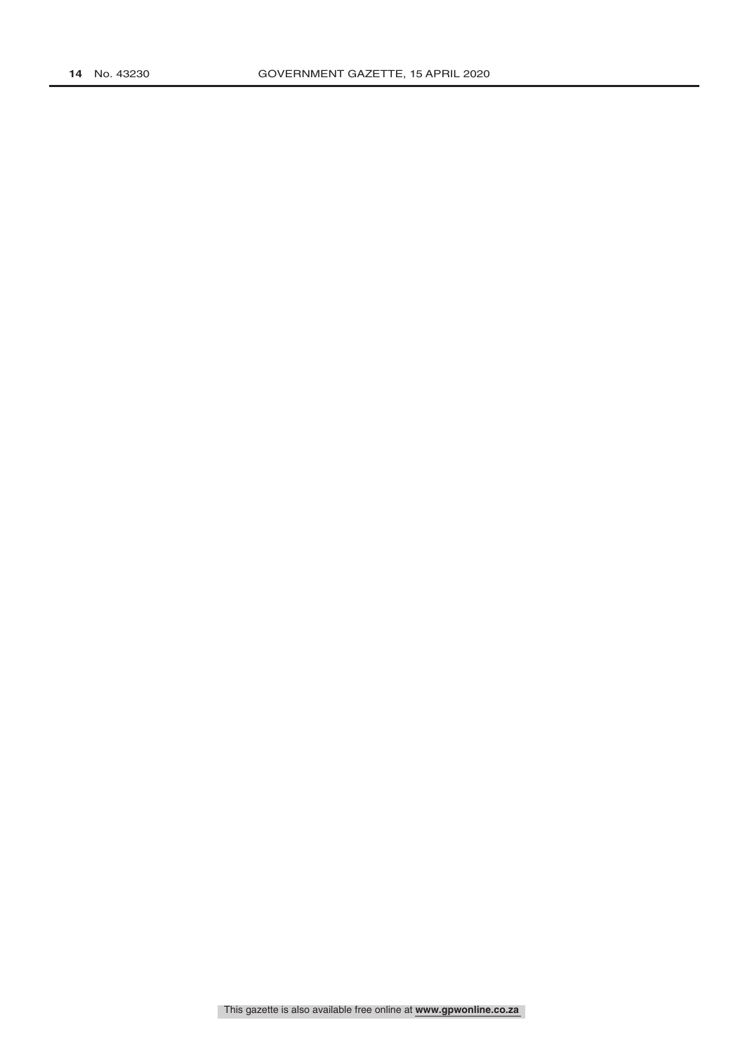This gazette is also available free online at **www.gpwonline.co.za**